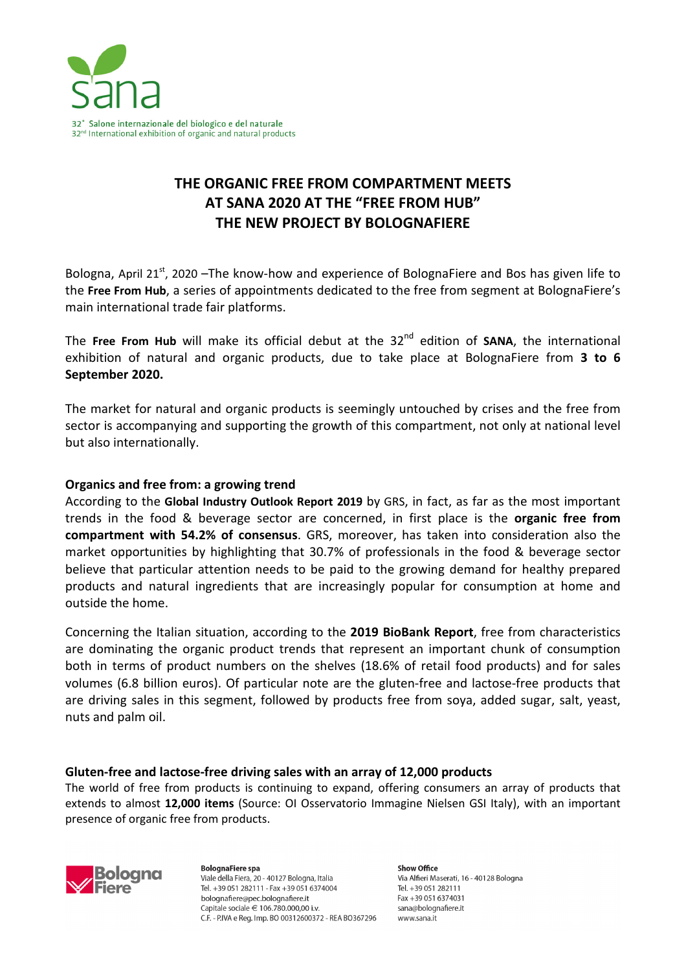

# **THE ORGANIC FREE FROM COMPARTMENT MEETS AT SANA 2020 AT THE "FREE FROM HUB" THE NEW PROJECT BY BOLOGNAFIERE**

Bologna, April 21<sup>st</sup>, 2020 –The know-how and experience of BolognaFiere and Bos has given life to the **Free From Hub**, a series of appointments dedicated to the free from segment at BolognaFiere's main international trade fair platforms.

The Free From Hub will make its official debut at the 32<sup>nd</sup> edition of SANA, the international exhibition of natural and organic products, due to take place at BolognaFiere from **3 to 6 September 2020.** 

The market for natural and organic products is seemingly untouched by crises and the free from sector is accompanying and supporting the growth of this compartment, not only at national level but also internationally.

### **Organics and free from: a growing trend**

According to the **Global Industry Outlook Report 2019** by GRS, in fact, as far as the most important trends in the food & beverage sector are concerned, in first place is the **organic free from compartment with 54.2% of consensus**. GRS, moreover, has taken into consideration also the market opportunities by highlighting that 30.7% of professionals in the food & beverage sector believe that particular attention needs to be paid to the growing demand for healthy prepared products and natural ingredients that are increasingly popular for consumption at home and outside the home.

Concerning the Italian situation, according to the **2019 BioBank Report**, free from characteristics are dominating the organic product trends that represent an important chunk of consumption both in terms of product numbers on the shelves (18.6% of retail food products) and for sales volumes (6.8 billion euros). Of particular note are the gluten-free and lactose-free products that are driving sales in this segment, followed by products free from soya, added sugar, salt, yeast, nuts and palm oil.

#### **Gluten-free and lactose-free driving sales with an array of 12,000 products**

The world of free from products is continuing to expand, offering consumers an array of products that extends to almost **12,000 items** (Source: OI Osservatorio Immagine Nielsen GSI Italy), with an important presence of organic free from products.



**BolognaFiere spa** Viale della Fiera, 20 - 40127 Bologna, Italia Tel. +39 051 282111 - Fax +39 051 6374004 bolognafiere@pec.bolognafiere.it Capitale sociale  $\in$  106.780.000.00 i.v. C.F. - P.IVA e Reg. Imp. BO 00312600372 - REA BO367296

Show Office Via Alfieri Maserati, 16 - 40128 Bologna Tel. +39 051 282111 Fax +39 051 6374031 sana@bolognafiere.it www.sana.it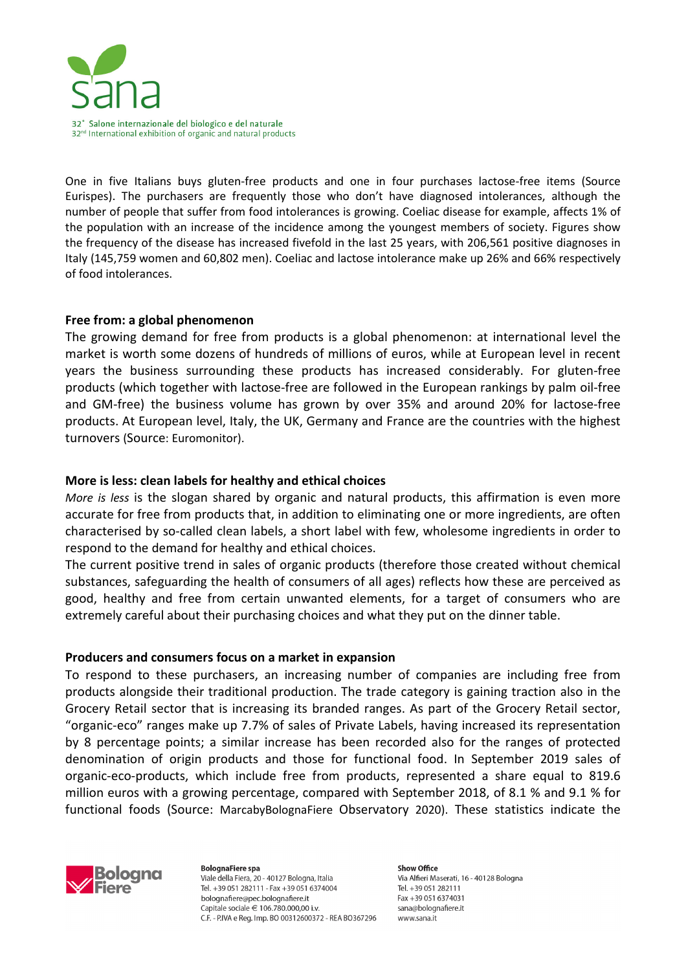

One in five Italians buys gluten-free products and one in four purchases lactose-free items (Source Eurispes). The purchasers are frequently those who don't have diagnosed intolerances, although the number of people that suffer from food intolerances is growing. Coeliac disease for example, affects 1% of the population with an increase of the incidence among the youngest members of society. Figures show the frequency of the disease has increased fivefold in the last 25 years, with 206,561 positive diagnoses in Italy (145,759 women and 60,802 men). Coeliac and lactose intolerance make up 26% and 66% respectively of food intolerances.

### **Free from: a global phenomenon**

The growing demand for free from products is a global phenomenon: at international level the market is worth some dozens of hundreds of millions of euros, while at European level in recent years the business surrounding these products has increased considerably. For gluten-free products (which together with lactose-free are followed in the European rankings by palm oil-free and GM-free) the business volume has grown by over 35% and around 20% for lactose-free products. At European level, Italy, the UK, Germany and France are the countries with the highest turnovers (Source: Euromonitor).

## **More is less: clean labels for healthy and ethical choices**

*More is less* is the slogan shared by organic and natural products, this affirmation is even more accurate for free from products that, in addition to eliminating one or more ingredients, are often characterised by so-called clean labels, a short label with few, wholesome ingredients in order to respond to the demand for healthy and ethical choices.

The current positive trend in sales of organic products (therefore those created without chemical substances, safeguarding the health of consumers of all ages) reflects how these are perceived as good, healthy and free from certain unwanted elements, for a target of consumers who are extremely careful about their purchasing choices and what they put on the dinner table.

### **Producers and consumers focus on a market in expansion**

To respond to these purchasers, an increasing number of companies are including free from products alongside their traditional production. The trade category is gaining traction also in the Grocery Retail sector that is increasing its branded ranges. As part of the Grocery Retail sector, "organic-eco" ranges make up 7.7% of sales of Private Labels, having increased its representation by 8 percentage points; a similar increase has been recorded also for the ranges of protected denomination of origin products and those for functional food. In September 2019 sales of organic-eco-products, which include free from products, represented a share equal to 819.6 million euros with a growing percentage, compared with September 2018, of 8.1 % and 9.1 % for functional foods (Source: MarcabyBolognaFiere Observatory 2020). These statistics indicate the



**BolognaFiere spa** Viale della Fiera, 20 - 40127 Bologna, Italia Tel. +39 051 282111 - Fax +39 051 6374004 bolognafiere@pec.bolognafiere.it Capitale sociale  $\in$  106.780.000.00 i.v. C.F. - P.IVA e Reg. Imp. BO 00312600372 - REA BO367296

Show Office Via Alfieri Maserati, 16 - 40128 Bologna Tel. +39 051 282111 Fax +39 051 6374031 sana@bolognafiere.it www.sana.it